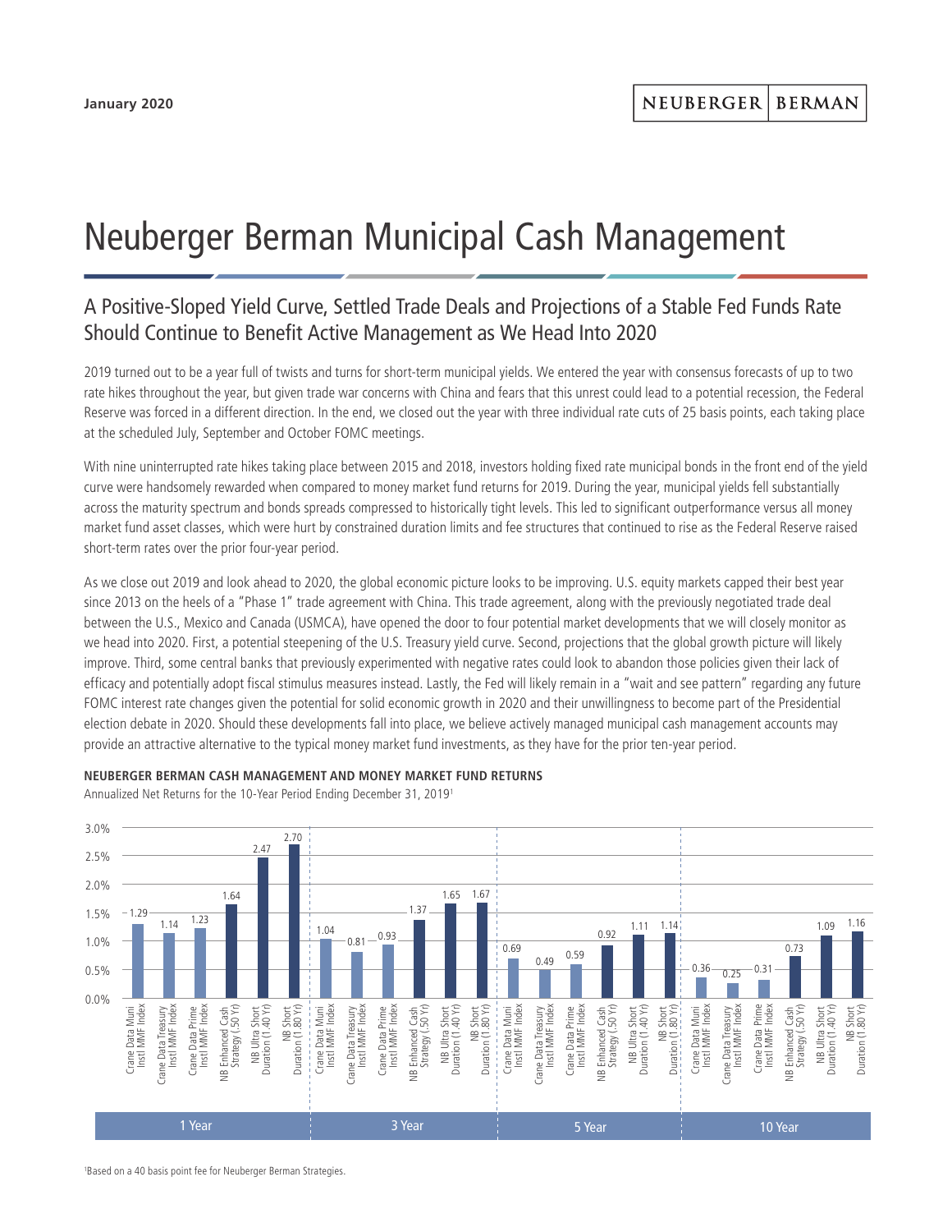## Neuberger Berman Municipal Cash Management

## A Positive-Sloped Yield Curve, Settled Trade Deals and Projections of a Stable Fed Funds Rate Should Continue to Benefit Active Management as We Head Into 2020

2019 turned out to be a year full of twists and turns for short-term municipal yields. We entered the year with consensus forecasts of up to two rate hikes throughout the year, but given trade war concerns with China and fears that this unrest could lead to a potential recession, the Federal Reserve was forced in a different direction. In the end, we closed out the year with three individual rate cuts of 25 basis points, each taking place at the scheduled July, September and October FOMC meetings.

With nine uninterrupted rate hikes taking place between 2015 and 2018, investors holding fixed rate municipal bonds in the front end of the yield curve were handsomely rewarded when compared to money market fund returns for 2019. During the year, municipal yields fell substantially across the maturity spectrum and bonds spreads compressed to historically tight levels. This led to significant outperformance versus all money market fund asset classes, which were hurt by constrained duration limits and fee structures that continued to rise as the Federal Reserve raised short-term rates over the prior four-year period.

As we close out 2019 and look ahead to 2020, the global economic picture looks to be improving. U.S. equity markets capped their best year since 2013 on the heels of a "Phase 1" trade agreement with China. This trade agreement, along with the previously negotiated trade deal between the U.S., Mexico and Canada (USMCA), have opened the door to four potential market developments that we will closely monitor as we head into 2020. First, a potential steepening of the U.S. Treasury yield curve. Second, projections that the global growth picture will likely improve. Third, some central banks that previously experimented with negative rates could look to abandon those policies given their lack of efficacy and potentially adopt fiscal stimulus measures instead. Lastly, the Fed will likely remain in a "wait and see pattern" regarding any future FOMC interest rate changes given the potential for solid economic growth in 2020 and their unwillingness to become part of the Presidential election debate in 2020. Should these developments fall into place, we believe actively managed municipal cash management accounts may provide an attractive alternative to the typical money market fund investments, as they have for the prior ten-year period.



**NEUBERGER BERMAN CASH MANAGEMENT AND MONEY MARKET FUND RETURNS**

Annualized Net Returns for the 10-Year Period Ending December 31, 20191

1 Based on a 40 basis point fee for Neuberger Berman Strategies.